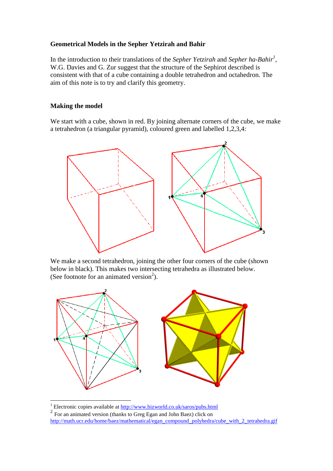## **Geometrical Models in the Sepher Yetzirah and Bahir**

In the introduction to their translations of the *Sepher Yetzirah* and *Sepher ha-Bahir<sup>1</sup>* , W.G. Davies and G. Zur suggest that the structure of the Sephirot described is consistent with that of a cube containing a double tetrahedron and octahedron. The aim of this note is to try and clarify this geometry.

## **Making the model**

We start with a cube, shown in red. By joining alternate corners of the cube, we make a tetrahedron (a triangular pyramid), coloured green and labelled 1,2,3,4:



We make a second tetrahedron, joining the other four corners of the cube (shown below in black). This makes two intersecting tetrahedra as illustrated below. (See footnote for an animated version<sup>2</sup>).



<sup>&</sup>lt;sup>1</sup> Electronic copies available at <u>http://www.bizworld.co.uk/saros/pubs.html</u>

<sup>&</sup>lt;sup>2</sup> For an animated version (thanks to Greg Egan and John Baez) click on http://math.ucr.edu/home/baez/mathematical/egan\_compound\_polyhedra/cube\_with\_2\_tetrahedra.gif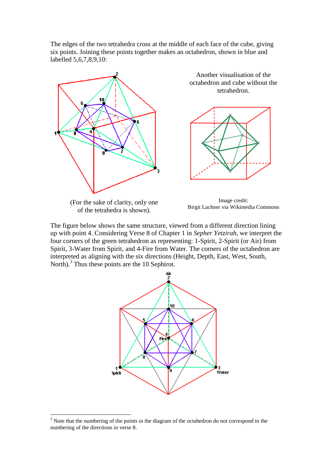The edges of the two tetrahedra cross at the middle of each face of the cube, giving six points. Joining these points together makes an octahedron, shown in blue and labelled 5,6,7,8,9,10:



(For the sake of clarity, only one of the tetrahedra is shown).

 $\overline{a}$ 

Image credit: Birgit Lachner via Wikimedia Commons

The figure below shows the same structure, viewed from a different direction lining up with point 4. Considering Verse 8 of Chapter 1 in *Sepher Yetzirah*, we interpret the four corners of the green tetrahedron as representing: 1-Spirit, 2-Spirit (or Air) from Spirit, 3-Water from Spirit, and 4-Fire from Water. The corners of the octahedron are interpreted as aligning with the six directions (Height, Depth, East, West, South, North).<sup>3</sup> Thus these points are the 10 Sephirot.



 $3$  Note that the numbering of the points in the diagram of the octahedron do not correspond to the numbering of the directions in verse 8.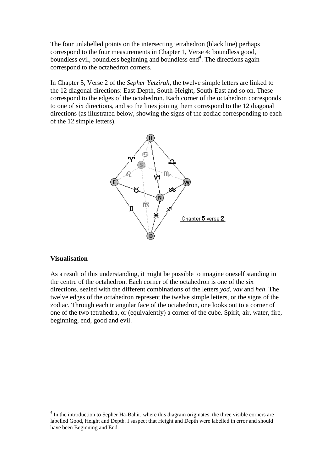The four unlabelled points on the intersecting tetrahedron (black line) perhaps correspond to the four measurements in Chapter 1, Verse 4: boundless good, boundless evil, boundless beginning and boundless end<sup>4</sup>. The directions again correspond to the octahedron corners.

In Chapter 5, Verse 2 of the *Sepher Yetzirah*, the twelve simple letters are linked to the 12 diagonal directions: East-Depth, South-Height, South-East and so on. These correspond to the edges of the octahedron. Each corner of the octahedron corresponds to one of six directions, and so the lines joining them correspond to the 12 diagonal directions (as illustrated below, showing the signs of the zodiac corresponding to each of the 12 simple letters).



## **Visualisation**

 $\overline{a}$ 

As a result of this understanding, it might be possible to imagine oneself standing in the centre of the octahedron. Each corner of the octahedron is one of the six directions, sealed with the different combinations of the letters *yod*, *vav* and *heh*. The twelve edges of the octahedron represent the twelve simple letters, or the signs of the zodiac. Through each triangular face of the octahedron, one looks out to a corner of one of the two tetrahedra, or (equivalently) a corner of the cube. Spirit, air, water, fire, beginning, end, good and evil.

<sup>&</sup>lt;sup>4</sup> In the introduction to Sepher Ha-Bahir, where this diagram originates, the three visible corners are labelled Good, Height and Depth. I suspect that Height and Depth were labelled in error and should have been Beginning and End.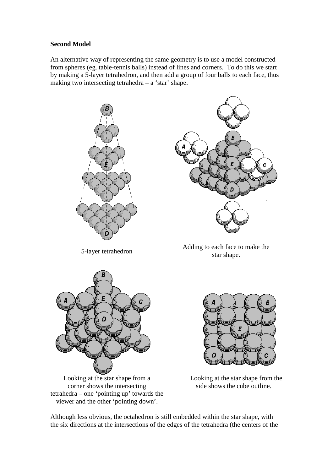## **Second Model**

An alternative way of representing the same geometry is to use a model constructed from spheres (eg. table-tennis balls) instead of lines and corners. To do this we start by making a 5-layer tetrahedron, and then add a group of four balls to each face, thus making two intersecting tetrahedra – a 'star' shape.





5-layer tetrahedron Adding to each face to make the star shape.



Looking at the star shape from a corner shows the intersecting tetrahedra – one 'pointing up' towards the viewer and the other 'pointing down'.



 Looking at the star shape from the side shows the cube outline.

Although less obvious, the octahedron is still embedded within the star shape, with the six directions at the intersections of the edges of the tetrahedra (the centers of the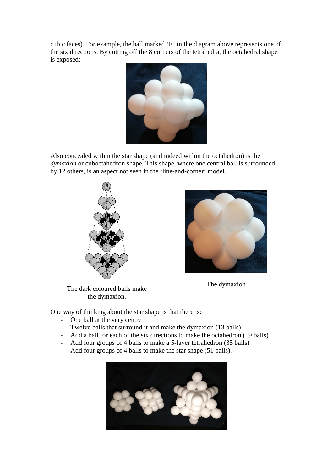cubic faces). For example, the ball marked 'E' in the diagram above represents one of the six directions. By cutting off the 8 corners of the tetrahedra, the octahedral shape is exposed:



Also concealed within the star shape (and indeed within the octahedron) is the *dymaxion* or cuboctahedron shape. This shape, where one central ball is surrounded by 12 others, is an aspect not seen in the 'line-and-corner' model.



The dymaxion

The dark coloured balls make the dymaxion.

One way of thinking about the star shape is that there is:

- One ball at the very centre
- Twelve balls that surround it and make the dymaxion (13 balls)
- Add a ball for each of the six directions to make the octahedron (19 balls)
- Add four groups of 4 balls to make a 5-layer tetrahedron (35 balls)
- Add four groups of 4 balls to make the star shape (51 balls).